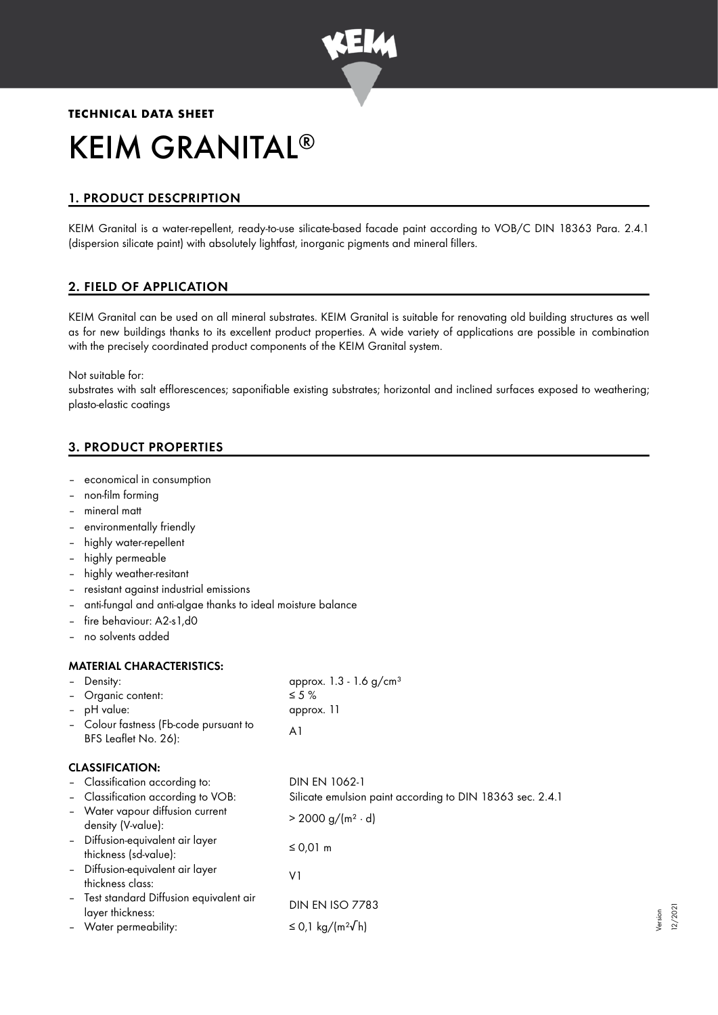

# **TECHNICAL DATA SHEET** KEIM GRANITAL ®

# 1. PRODUCT DESCPRIPTION

KEIM Granital is a water-repellent, ready-to-use silicate-based facade paint according to VOB/C DIN 18363 Para. 2.4.1 (dispersion silicate paint) with absolutely lightfast, inorganic pigments and mineral fillers.

# 2. FIELD OF APPLICATION

KEIM Granital can be used on all mineral substrates. KEIM Granital is suitable for renovating old building structures as well as for new buildings thanks to its excellent product properties. A wide variety of applications are possible in combination with the precisely coordinated product components of the KEIM Granital system.

Not suitable for:

substrates with salt efflorescences; saponifiable existing substrates; horizontal and inclined surfaces exposed to weathering; plasto-elastic coatings

# 3. PRODUCT PROPERTIES

- economical in consumption
- non-film forming
- mineral matt
- environmentally friendly
- highly water-repellent
- highly permeable
- highly weather-resitant
- resistant against industrial emissions
- anti-fungal and anti-algae thanks to ideal moisture balance
- fire behaviour: A2-s1,d0
- no solvents added

#### MATERIAL CHARACTERISTICS:

| Density:                                                       | approx. $1.3 - 1.6$ g/cm <sup>3</sup>                     |
|----------------------------------------------------------------|-----------------------------------------------------------|
| Organic content:<br>-                                          | $\leq 5\%$                                                |
| - pH value:                                                    | approx. 11                                                |
| - Colour fastness (Fb-code pursuant to<br>BFS Leaflet No. 26): | A1                                                        |
| <b>CLASSIFICATION:</b>                                         |                                                           |
| - Classification according to:                                 | DIN EN 1062-1                                             |
| - Classification according to VOB:                             | Silicate emulsion paint according to DIN 18363 sec. 2.4.1 |
| - Water vapour diffusion current<br>density (V-value):         | $> 2000 g/(m^2 \cdot d)$                                  |
| - Diffusion-equivalent air layer<br>thickness (sd-value):      | $\leq$ 0,01 m                                             |
| - Diffusion-equivalent air layer<br>thickness class:           | ٧1                                                        |
| - Test standard Diffusion equivalent air<br>layer thickness:   | <b>DIN EN ISO 7783</b>                                    |
| - Water permeability:                                          | ≤ 0,1 kg/(m <sup>2</sup> $\sqrt{}$ h)                     |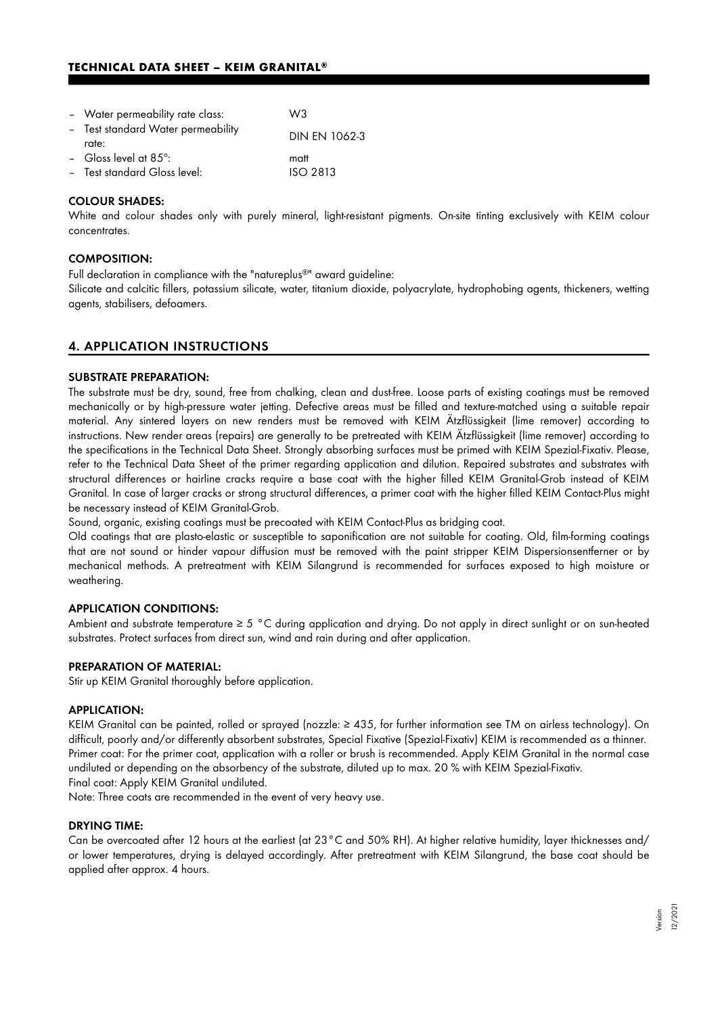# **TECHNICAL DATA SHEET – KEIM GRANITAL®**

| - Water permeability rate class:            | W <sub>3</sub>       |
|---------------------------------------------|----------------------|
| - Test standard Water permeability<br>rate: | <b>DIN EN 1062-3</b> |
| - Gloss level at $85^\circ$ :               | matt                 |
| - Test standard Gloss level:                | <b>ISO 2813</b>      |

#### COLOUR SHADES:

White and colour shades only with purely mineral, light-resistant pigments. On-site tinting exclusively with KEIM colour concentrates.

# COMPOSITION:

Full declaration in compliance with the "natureplus®" award guideline:  $\,$ 

Silicate and calcitic fillers, potassium silicate, water, titanium dioxide, polyacrylate, hydrophobing agents, thickeners, wetting agents, stabilisers, defoamers.

### 4. APPLICATION INSTRUCTIONS

#### SUBSTRATE PREPARATION:

The substrate must be dry, sound, free from chalking, clean and dust-free. Loose parts of existing coatings must be removed mechanically or by high-pressure water jetting. Defective areas must be filled and texture-matched using a suitable repair material. Any sintered layers on new renders must be removed with KEIM Ätzflüssigkeit (lime remover) according to instructions. New render areas (repairs) are generally to be pretreated with KEIM Ätzflüssigkeit (lime remover) according to the specifications in the Technical Data Sheet. Strongly absorbing surfaces must be primed with KEIM Spezial-Fixativ. Please, refer to the Technical Data Sheet of the primer regarding application and dilution. Repaired substrates and substrates with structural differences or hairline cracks require a base coat with the higher filled KEIM Granital-Grob instead of KEIM Granital. In case of larger cracks or strong structural differences, a primer coat with the higher filled KEIM Contact-Plus might be necessary instead of KEIM Granital-Grob.

Sound, organic, existing coatings must be precoated with KEIM Contact-Plus as bridging coat.

Old coatings that are plasto-elastic or susceptible to saponification are not suitable for coating. Old, film-forming coatings that are not sound or hinder vapour diffusion must be removed with the paint stripper KEIM Dispersionsentferner or by mechanical methods. A pretreatment with KEIM Silangrund is recommended for surfaces exposed to high moisture or weathering.

#### APPLICATION CONDITIONS:

Ambient and substrate temperature ≥ 5 °C during application and drying. Do not apply in direct sunlight or on sun-heated substrates. Protect surfaces from direct sun, wind and rain during and after application.

#### PREPARATION OF MATERIAL:

Stir up KEIM Granital thoroughly before application.

#### APPLICATION:

KEIM Granital can be painted, rolled or sprayed (nozzle: ≥ 435, for further information see TM on airless technology). On difficult, poorly and/or differently absorbent substrates, Special Fixative (Spezial-Fixativ) KEIM is recommended as a thinner. Primer coat: For the primer coat, application with a roller or brush is recommended. Apply KEIM Granital in the normal case undiluted or depending on the absorbency of the substrate, diluted up to max. 20 % with KEIM Spezial-Fixativ. Final coat: Apply KEIM Granital undiluted.

Note: Three coats are recommended in the event of very heavy use.

#### DRYING TIME:

Can be overcoated after 12 hours at the earliest (at 23°C and 50% RH). At higher relative humidity, layer thicknesses and/ or lower temperatures, drying is delayed accordingly. After pretreatment with KEIM Silangrund, the base coat should be applied after approx. 4 hours.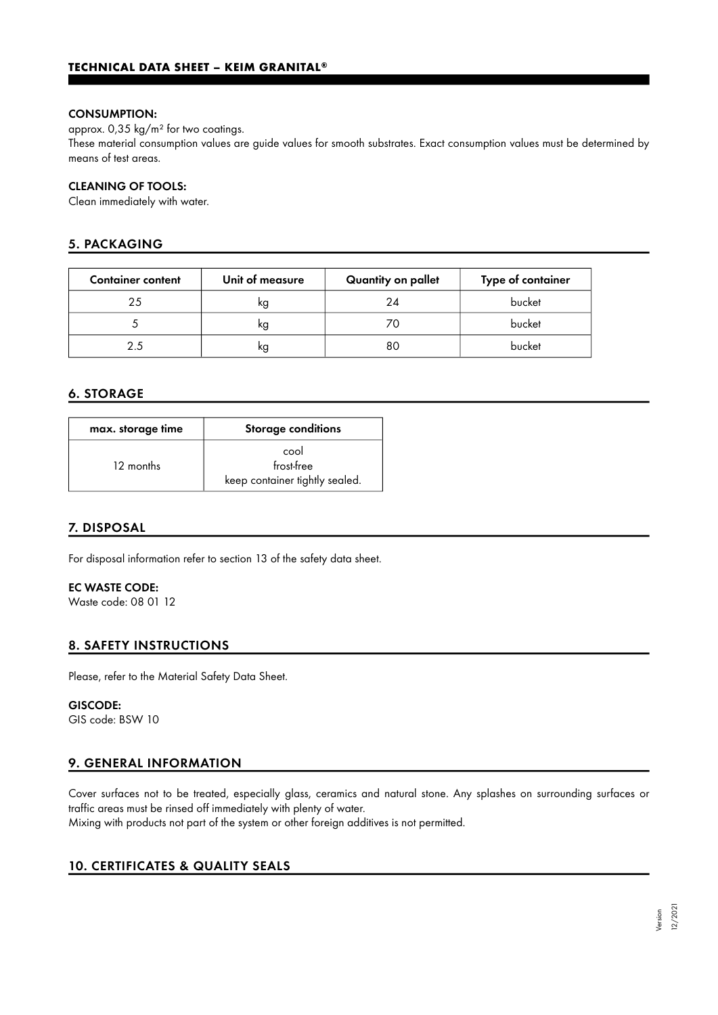#### CONSUMPTION:

approx. 0,35 kg/m² for two coatings.

These material consumption values are guide values for smooth substrates. Exact consumption values must be determined by means of test areas.

#### CLEANING OF TOOLS:

Clean immediately with water.

# 5. PACKAGING

| <b>Container content</b> | Unit of measure | Quantity on pallet | Type of container |
|--------------------------|-----------------|--------------------|-------------------|
| 25                       | ĸg              | 24                 | bucket            |
|                          | κg              | 70                 | bucket            |
| 25                       | ĸg              | 80                 | bucket            |

# 6. STORAGE

| max. storage time | Storage conditions             |  |
|-------------------|--------------------------------|--|
| 12 months         | cool<br>frost-free             |  |
|                   | keep container tightly sealed. |  |

# 7. DISPOSAL

For disposal information refer to section 13 of the safety data sheet.

# EC WASTE CODE:

Waste code: 08 01 12

# 8. SAFETY INSTRUCTIONS

Please, refer to the Material Safety Data Sheet.

#### GISCODE:

GIS code: BSW 10

# 9. GENERAL INFORMATION

Cover surfaces not to be treated, especially glass, ceramics and natural stone. Any splashes on surrounding surfaces or traffic areas must be rinsed off immediately with plenty of water. Mixing with products not part of the system or other foreign additives is not permitted.

10. CERTIFICATES & QUALITY SEALS